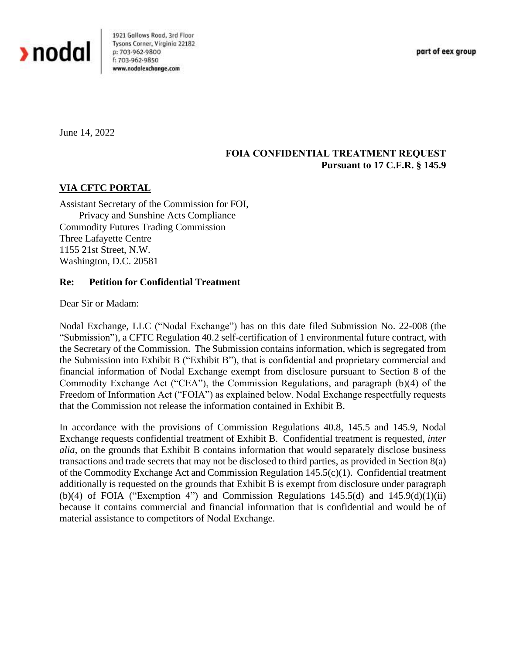

1921 Gallows Road, 3rd Floor Tysons Corner, Virginia 22182 p: 703-962-9800 f: 703-962-9850 www.nodalexchange.com

part of eex group

June 14, 2022

## **FOIA CONFIDENTIAL TREATMENT REQUEST Pursuant to 17 C.F.R. § 145.9**

## **VIA CFTC PORTAL**

Assistant Secretary of the Commission for FOI, Privacy and Sunshine Acts Compliance Commodity Futures Trading Commission Three Lafayette Centre 1155 21st Street, N.W. Washington, D.C. 20581

## **Re: Petition for Confidential Treatment**

Dear Sir or Madam:

Nodal Exchange, LLC ("Nodal Exchange") has on this date filed Submission No. 22-008 (the "Submission"), a CFTC Regulation 40.2 self-certification of 1 environmental future contract, with the Secretary of the Commission. The Submission contains information, which is segregated from the Submission into Exhibit B ("Exhibit B"), that is confidential and proprietary commercial and financial information of Nodal Exchange exempt from disclosure pursuant to Section 8 of the Commodity Exchange Act ("CEA"), the Commission Regulations, and paragraph (b)(4) of the Freedom of Information Act ("FOIA") as explained below. Nodal Exchange respectfully requests that the Commission not release the information contained in Exhibit B.

In accordance with the provisions of Commission Regulations 40.8, 145.5 and 145.9, Nodal Exchange requests confidential treatment of Exhibit B. Confidential treatment is requested, *inter alia*, on the grounds that Exhibit B contains information that would separately disclose business transactions and trade secrets that may not be disclosed to third parties, as provided in Section 8(a) of the Commodity Exchange Act and Commission Regulation 145.5(c)(1). Confidential treatment additionally is requested on the grounds that Exhibit B is exempt from disclosure under paragraph (b)(4) of FOIA ("Exemption 4") and Commission Regulations  $145.5(d)$  and  $145.9(d)(1)(ii)$ because it contains commercial and financial information that is confidential and would be of material assistance to competitors of Nodal Exchange.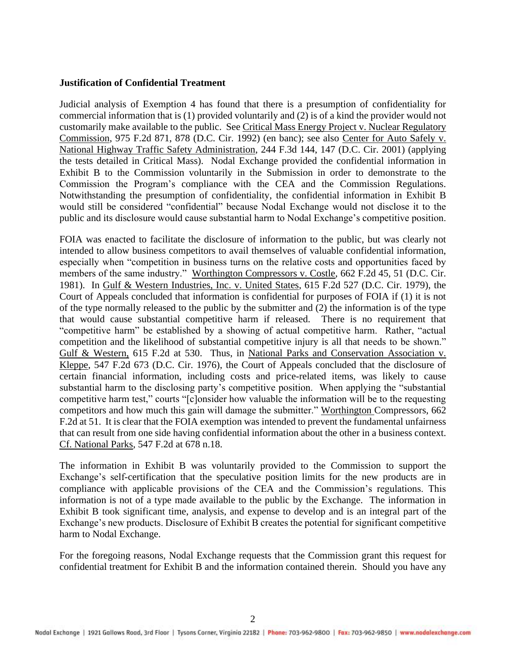## **Justification of Confidential Treatment**

Judicial analysis of Exemption 4 has found that there is a presumption of confidentiality for commercial information that is (1) provided voluntarily and (2) is of a kind the provider would not customarily make available to the public. See Critical Mass Energy Project v. Nuclear Regulatory Commission, 975 F.2d 871, 878 (D.C. Cir. 1992) (en banc); see also Center for Auto Safely v. National Highway Traffic Safety Administration, 244 F.3d 144, 147 (D.C. Cir. 2001) (applying the tests detailed in Critical Mass). Nodal Exchange provided the confidential information in Exhibit B to the Commission voluntarily in the Submission in order to demonstrate to the Commission the Program's compliance with the CEA and the Commission Regulations. Notwithstanding the presumption of confidentiality, the confidential information in Exhibit B would still be considered "confidential" because Nodal Exchange would not disclose it to the public and its disclosure would cause substantial harm to Nodal Exchange's competitive position.

FOIA was enacted to facilitate the disclosure of information to the public, but was clearly not intended to allow business competitors to avail themselves of valuable confidential information, especially when "competition in business turns on the relative costs and opportunities faced by members of the same industry." Worthington Compressors v. Costle, 662 F.2d 45, 51 (D.C. Cir. 1981). In Gulf & Western Industries, Inc. v. United States, 615 F.2d 527 (D.C. Cir. 1979), the Court of Appeals concluded that information is confidential for purposes of FOIA if (1) it is not of the type normally released to the public by the submitter and (2) the information is of the type that would cause substantial competitive harm if released. There is no requirement that "competitive harm" be established by a showing of actual competitive harm. Rather, "actual competition and the likelihood of substantial competitive injury is all that needs to be shown." Gulf & Western, 615 F.2d at 530. Thus, in National Parks and Conservation Association v. Kleppe, 547 F.2d 673 (D.C. Cir. 1976), the Court of Appeals concluded that the disclosure of certain financial information, including costs and price-related items, was likely to cause substantial harm to the disclosing party's competitive position. When applying the "substantial competitive harm test," courts "[c]onsider how valuable the information will be to the requesting competitors and how much this gain will damage the submitter." Worthington Compressors, 662 F.2d at 51. It is clear that the FOIA exemption was intended to prevent the fundamental unfairness that can result from one side having confidential information about the other in a business context. Cf. National Parks, 547 F.2d at 678 n.18.

The information in Exhibit B was voluntarily provided to the Commission to support the Exchange's self-certification that the speculative position limits for the new products are in compliance with applicable provisions of the CEA and the Commission's regulations. This information is not of a type made available to the public by the Exchange. The information in Exhibit B took significant time, analysis, and expense to develop and is an integral part of the Exchange's new products. Disclosure of Exhibit B creates the potential for significant competitive harm to Nodal Exchange.

For the foregoing reasons, Nodal Exchange requests that the Commission grant this request for confidential treatment for Exhibit B and the information contained therein. Should you have any